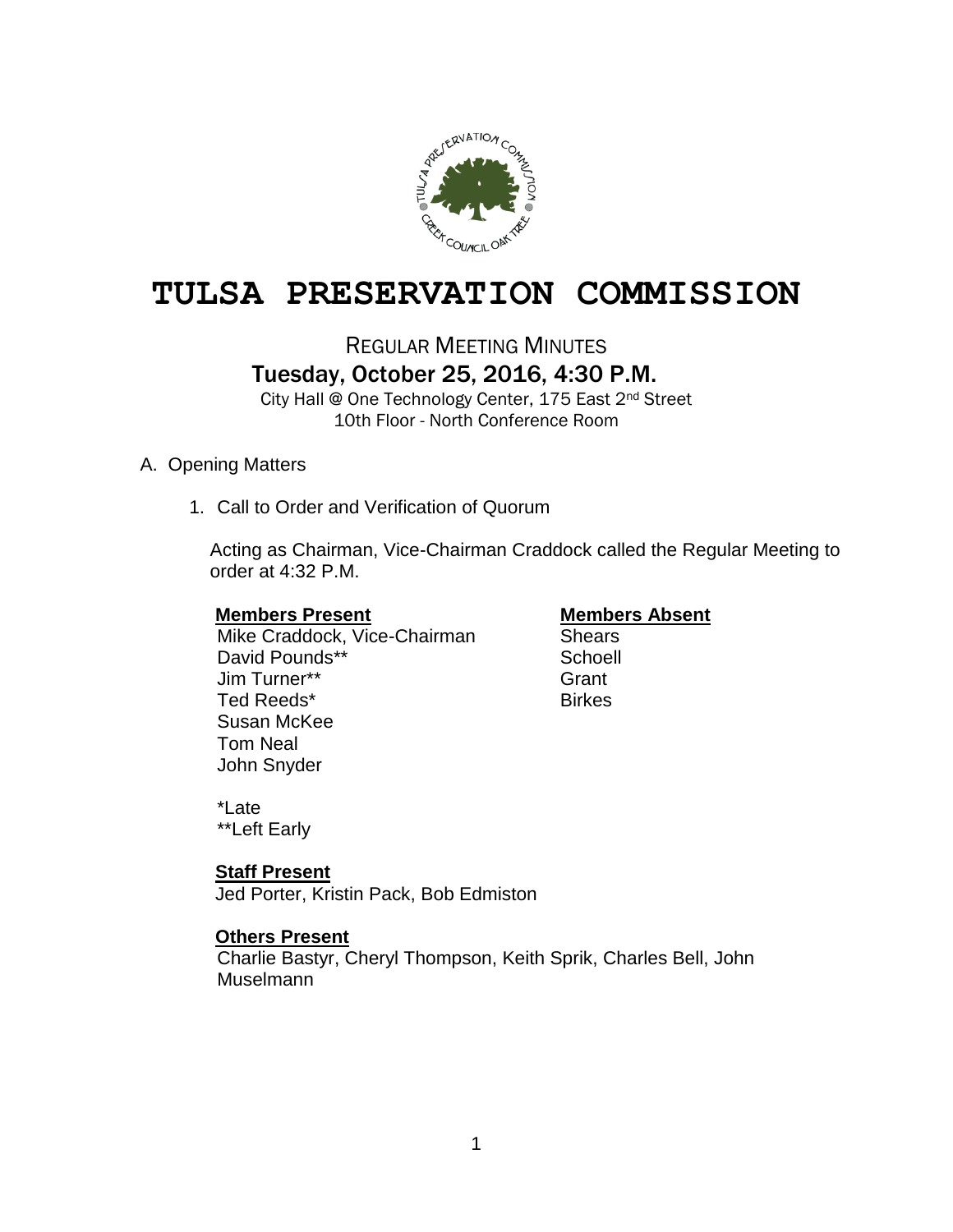

# **TULSA PRESERVATION COMMISSION**

## REGULAR MEETING MINUTES Tuesday, October 25, 2016, 4:30 P.M.

City Hall @ One Technology Center, 175 East 2nd Street 10th Floor - North Conference Room

### A. Opening Matters

1. Call to Order and Verification of Quorum

Acting as Chairman, Vice-Chairman Craddock called the Regular Meeting to order at 4:32 P.M.

#### **Members Present Members Absent**

Mike Craddock, Vice-Chairman Shears David Pounds\*\* Schoell Jim Turner\*\* Grant Ted Reeds\* Birkes Susan McKee Tom Neal John Snyder

\*Late \*\*Left Early

### **Staff Present**

Jed Porter, Kristin Pack, Bob Edmiston

### **Others Present**

Charlie Bastyr, Cheryl Thompson, Keith Sprik, Charles Bell, John **Muselmann**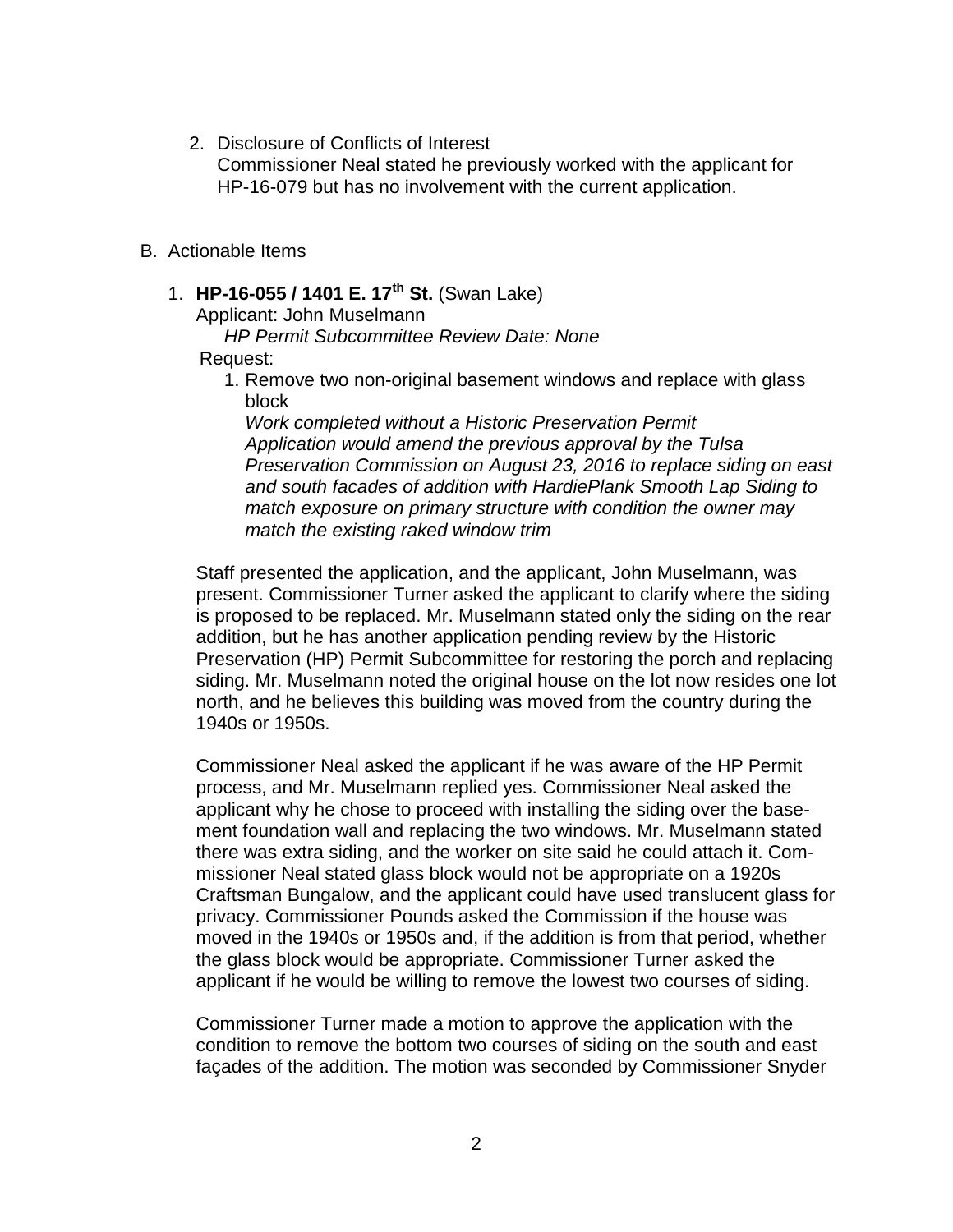2. Disclosure of Conflicts of Interest

Commissioner Neal stated he previously worked with the applicant for HP-16-079 but has no involvement with the current application.

- B. Actionable Items
	- 1. **HP-16-055 / 1401 E. 17th St.** (Swan Lake)

Applicant: John Muselmann

*HP Permit Subcommittee Review Date: None*

### Request:

1. Remove two non-original basement windows and replace with glass block

*Work completed without a Historic Preservation Permit Application would amend the previous approval by the Tulsa Preservation Commission on August 23, 2016 to replace siding on east and south facades of addition with HardiePlank Smooth Lap Siding to match exposure on primary structure with condition the owner may match the existing raked window trim*

Staff presented the application, and the applicant, John Muselmann, was present. Commissioner Turner asked the applicant to clarify where the siding is proposed to be replaced. Mr. Muselmann stated only the siding on the rear addition, but he has another application pending review by the Historic Preservation (HP) Permit Subcommittee for restoring the porch and replacing siding. Mr. Muselmann noted the original house on the lot now resides one lot north, and he believes this building was moved from the country during the 1940s or 1950s.

Commissioner Neal asked the applicant if he was aware of the HP Permit process, and Mr. Muselmann replied yes. Commissioner Neal asked the applicant why he chose to proceed with installing the siding over the basement foundation wall and replacing the two windows. Mr. Muselmann stated there was extra siding, and the worker on site said he could attach it. Commissioner Neal stated glass block would not be appropriate on a 1920s Craftsman Bungalow, and the applicant could have used translucent glass for privacy. Commissioner Pounds asked the Commission if the house was moved in the 1940s or 1950s and, if the addition is from that period, whether the glass block would be appropriate. Commissioner Turner asked the applicant if he would be willing to remove the lowest two courses of siding.

Commissioner Turner made a motion to approve the application with the condition to remove the bottom two courses of siding on the south and east façades of the addition. The motion was seconded by Commissioner Snyder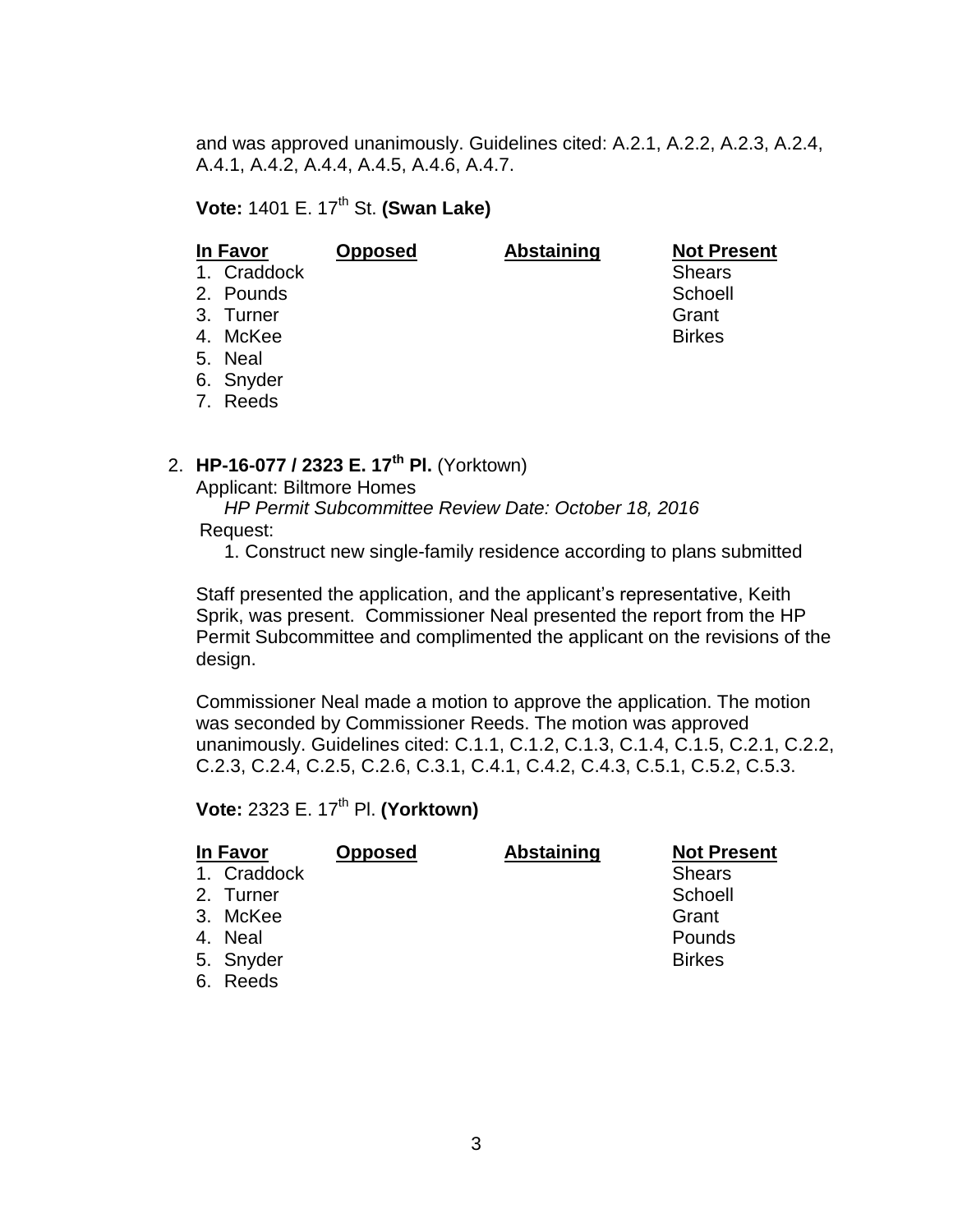and was approved unanimously. Guidelines cited: A.2.1, A.2.2, A.2.3, A.2.4, A.4.1, A.4.2, A.4.4, A.4.5, A.4.6, A.4.7.

**Vote: 1401 E. 17<sup>th</sup> St. <b>(Swan Lake)** 

| In Favor    | <b>Opposed</b> | <b>Abstaining</b> | <b>Not Present</b> |
|-------------|----------------|-------------------|--------------------|
| 1. Craddock |                |                   | <b>Shears</b>      |
| 2. Pounds   |                |                   | Schoell            |
| 3. Turner   |                |                   | Grant              |
| 4. McKee    |                |                   | <b>Birkes</b>      |
| 5. Neal     |                |                   |                    |
| 6. Snyder   |                |                   |                    |

7. Reeds

## 2. **HP-16-077 / 2323 E. 17th Pl.** (Yorktown)

Applicant: Biltmore Homes

 *HP Permit Subcommittee Review Date: October 18, 2016* Request:

1. Construct new single-family residence according to plans submitted

Staff presented the application, and the applicant's representative, Keith Sprik, was present. Commissioner Neal presented the report from the HP Permit Subcommittee and complimented the applicant on the revisions of the design.

Commissioner Neal made a motion to approve the application. The motion was seconded by Commissioner Reeds. The motion was approved unanimously. Guidelines cited: C.1.1, C.1.2, C.1.3, C.1.4, C.1.5, C.2.1, C.2.2, C.2.3, C.2.4, C.2.5, C.2.6, C.3.1, C.4.1, C.4.2, C.4.3, C.5.1, C.5.2, C.5.3.

**Vote: 2323 E. 17<sup>th</sup> Pl. <b>(Yorktown)** 

| In Favor    | <b>Opposed</b> | <b>Abstaining</b> | <b>Not Present</b> |
|-------------|----------------|-------------------|--------------------|
| 1. Craddock |                |                   | <b>Shears</b>      |
| 2. Turner   |                |                   | Schoell            |
| 3. McKee    |                |                   | Grant              |
| 4. Neal     |                |                   | Pounds             |
| 5. Snyder   |                |                   | <b>Birkes</b>      |
| 6. Reeds    |                |                   |                    |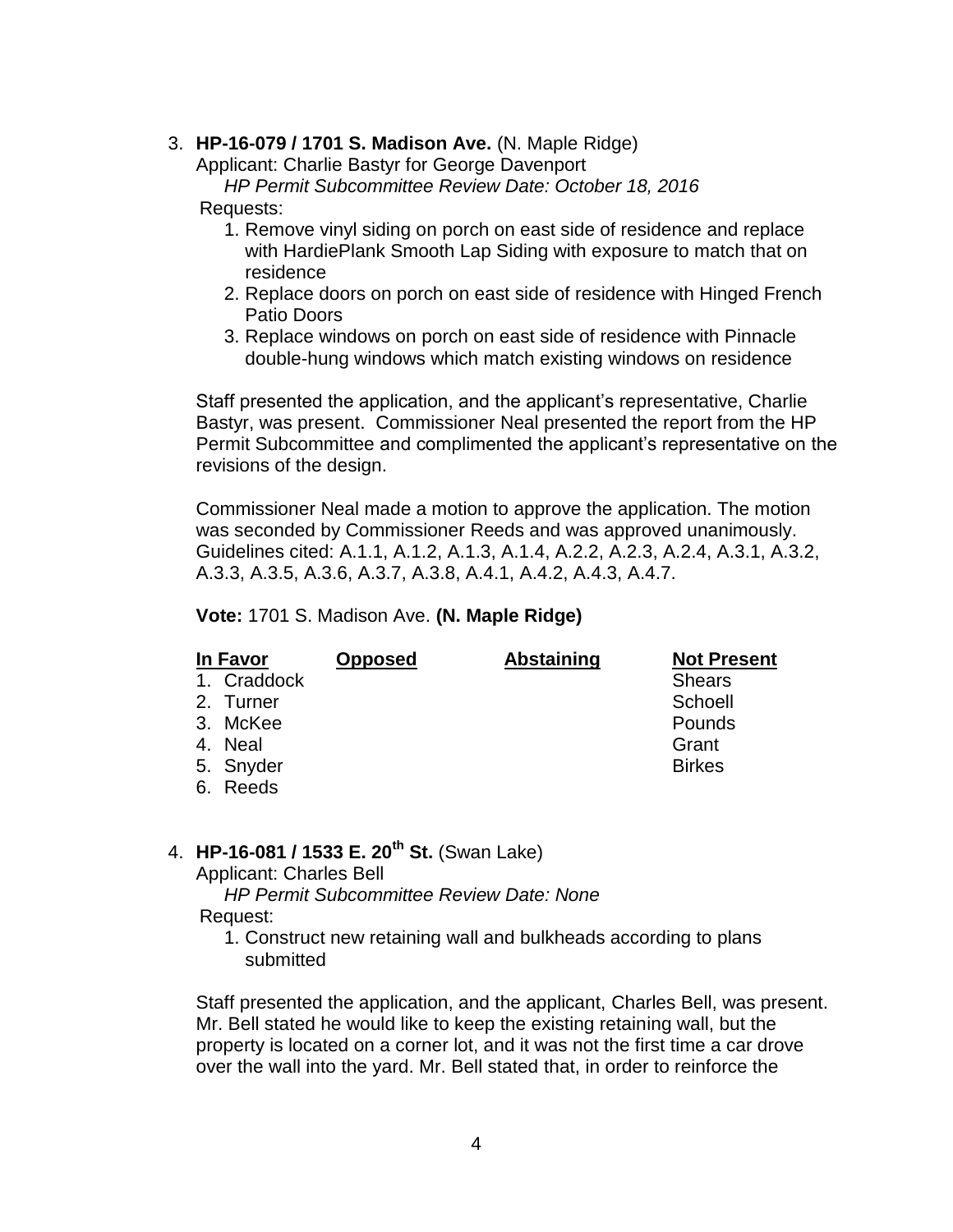#### 3. **HP-16-079 / 1701 S. Madison Ave.** (N. Maple Ridge)

Applicant: Charlie Bastyr for George Davenport

#### *HP Permit Subcommittee Review Date: October 18, 2016*

#### Requests:

- 1. Remove vinyl siding on porch on east side of residence and replace with HardiePlank Smooth Lap Siding with exposure to match that on residence
- 2. Replace doors on porch on east side of residence with Hinged French Patio Doors
- 3. Replace windows on porch on east side of residence with Pinnacle double-hung windows which match existing windows on residence

Staff presented the application, and the applicant's representative, Charlie Bastyr, was present. Commissioner Neal presented the report from the HP Permit Subcommittee and complimented the applicant's representative on the revisions of the design.

Commissioner Neal made a motion to approve the application. The motion was seconded by Commissioner Reeds and was approved unanimously. Guidelines cited: A.1.1, A.1.2, A.1.3, A.1.4, A.2.2, A.2.3, A.2.4, A.3.1, A.3.2, A.3.3, A.3.5, A.3.6, A.3.7, A.3.8, A.4.1, A.4.2, A.4.3, A.4.7.

#### **Vote:** 1701 S. Madison Ave. **(N. Maple Ridge)**

| In Favor    | <b>Opposed</b> | <b>Abstaining</b> | <b>Not Present</b> |
|-------------|----------------|-------------------|--------------------|
| 1. Craddock |                |                   | <b>Shears</b>      |
| 2. Turner   |                |                   | Schoell            |
| 3. McKee    |                |                   | Pounds             |
| 4. Neal     |                |                   | Grant              |
| 5. Snyder   |                |                   | <b>Birkes</b>      |
| 6. Reeds    |                |                   |                    |

## 4. **HP-16-081 / 1533 E. 20th St.** (Swan Lake)

Applicant: Charles Bell

 *HP Permit Subcommittee Review Date: None* Request:

1. Construct new retaining wall and bulkheads according to plans submitted

Staff presented the application, and the applicant, Charles Bell, was present. Mr. Bell stated he would like to keep the existing retaining wall, but the property is located on a corner lot, and it was not the first time a car drove over the wall into the yard. Mr. Bell stated that, in order to reinforce the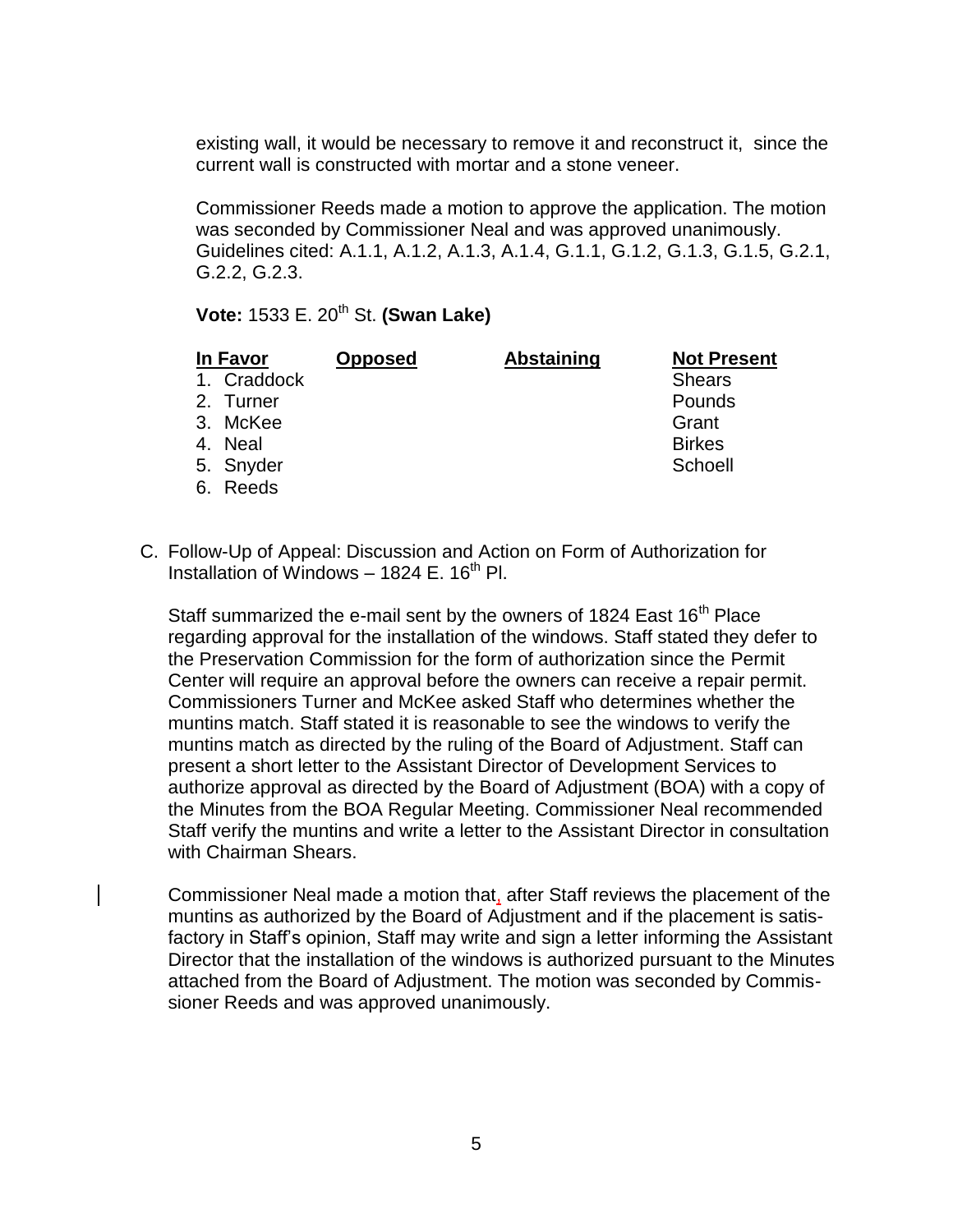existing wall, it would be necessary to remove it and reconstruct it, since the current wall is constructed with mortar and a stone veneer.

Commissioner Reeds made a motion to approve the application. The motion was seconded by Commissioner Neal and was approved unanimously. Guidelines cited: A.1.1, A.1.2, A.1.3, A.1.4, G.1.1, G.1.2, G.1.3, G.1.5, G.2.1, G.2.2, G.2.3.

**Vote:** 1533 E. 20<sup>th</sup> St. **(Swan Lake)** 

| In Favor |             | <b>Opposed</b> | <b>Abstaining</b> | <b>Not Present</b> |
|----------|-------------|----------------|-------------------|--------------------|
|          | 1. Craddock |                |                   | <b>Shears</b>      |
|          | 2. Turner   |                |                   | Pounds             |
|          | 3. McKee    |                |                   | Grant              |
|          | 4. Neal     |                |                   | <b>Birkes</b>      |
|          | 5. Snyder   |                |                   | Schoell            |
|          | 6. Reeds    |                |                   |                    |

C. Follow-Up of Appeal: Discussion and Action on Form of Authorization for Installation of Windows  $-$  1824 E. 16<sup>th</sup> Pl.

Staff summarized the e-mail sent by the owners of 1824 East 16<sup>th</sup> Place regarding approval for the installation of the windows. Staff stated they defer to the Preservation Commission for the form of authorization since the Permit Center will require an approval before the owners can receive a repair permit. Commissioners Turner and McKee asked Staff who determines whether the muntins match. Staff stated it is reasonable to see the windows to verify the muntins match as directed by the ruling of the Board of Adjustment. Staff can present a short letter to the Assistant Director of Development Services to authorize approval as directed by the Board of Adjustment (BOA) with a copy of the Minutes from the BOA Regular Meeting. Commissioner Neal recommended Staff verify the muntins and write a letter to the Assistant Director in consultation with Chairman Shears.

Commissioner Neal made a motion that, after Staff reviews the placement of the muntins as authorized by the Board of Adjustment and if the placement is satisfactory in Staff's opinion, Staff may write and sign a letter informing the Assistant Director that the installation of the windows is authorized pursuant to the Minutes attached from the Board of Adjustment. The motion was seconded by Commissioner Reeds and was approved unanimously.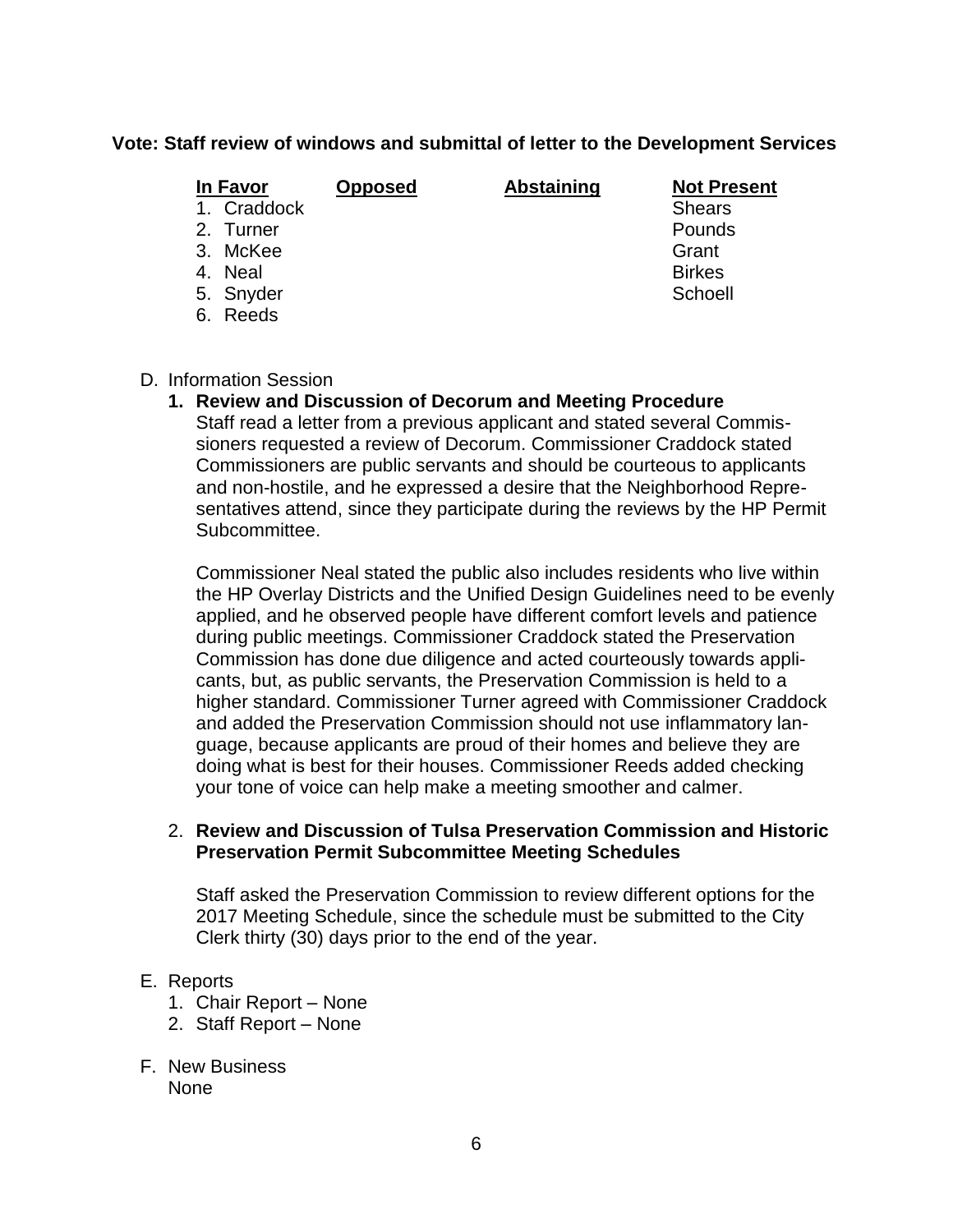### **Vote: Staff review of windows and submittal of letter to the Development Services**

| In Favor    | <b>Opposed</b> | <b>Abstaining</b> | <b>Not Present</b> |
|-------------|----------------|-------------------|--------------------|
| 1. Craddock |                |                   | <b>Shears</b>      |
| 2. Turner   |                |                   | <b>Pounds</b>      |
| 3. McKee    |                |                   | Grant              |
| 4. Neal     |                |                   | <b>Birkes</b>      |
| 5. Snyder   |                |                   | Schoell            |
| 6. Reeds    |                |                   |                    |
|             |                |                   |                    |

#### D. Information Session

#### **1. Review and Discussion of Decorum and Meeting Procedure**

Staff read a letter from a previous applicant and stated several Commissioners requested a review of Decorum. Commissioner Craddock stated Commissioners are public servants and should be courteous to applicants and non-hostile, and he expressed a desire that the Neighborhood Representatives attend, since they participate during the reviews by the HP Permit Subcommittee.

Commissioner Neal stated the public also includes residents who live within the HP Overlay Districts and the Unified Design Guidelines need to be evenly applied, and he observed people have different comfort levels and patience during public meetings. Commissioner Craddock stated the Preservation Commission has done due diligence and acted courteously towards applicants, but, as public servants, the Preservation Commission is held to a higher standard. Commissioner Turner agreed with Commissioner Craddock and added the Preservation Commission should not use inflammatory language, because applicants are proud of their homes and believe they are doing what is best for their houses. Commissioner Reeds added checking your tone of voice can help make a meeting smoother and calmer.

#### 2. **Review and Discussion of Tulsa Preservation Commission and Historic Preservation Permit Subcommittee Meeting Schedules**

Staff asked the Preservation Commission to review different options for the 2017 Meeting Schedule, since the schedule must be submitted to the City Clerk thirty (30) days prior to the end of the year.

#### E. Reports

- 1. Chair Report None
- 2. Staff Report None
- F. New Business None